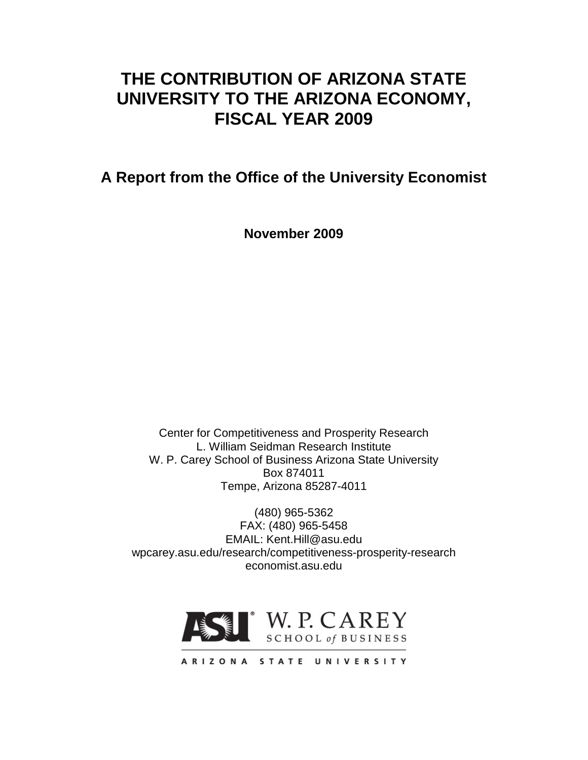# **THE CONTRIBUTION OF ARIZONA STATE UNIVERSITY TO THE ARIZONA ECONOMY, FISCAL YEAR 2009**

**A Report from the Office of the University Economist**

**November 2009**

Center for Competitiveness and Prosperity Research L. William Seidman Research Institute W. P. Carey School of Business Arizona State University Box 874011 Tempe, Arizona 85287-4011

(480) 965-5362 FAX: (480) 965-5458 EMAIL: Kent.Hill@asu.edu wpcarey.asu.edu/research/competitiveness-prosperity-research economist.asu.edu



ARIZONA STATE UNIVERSITY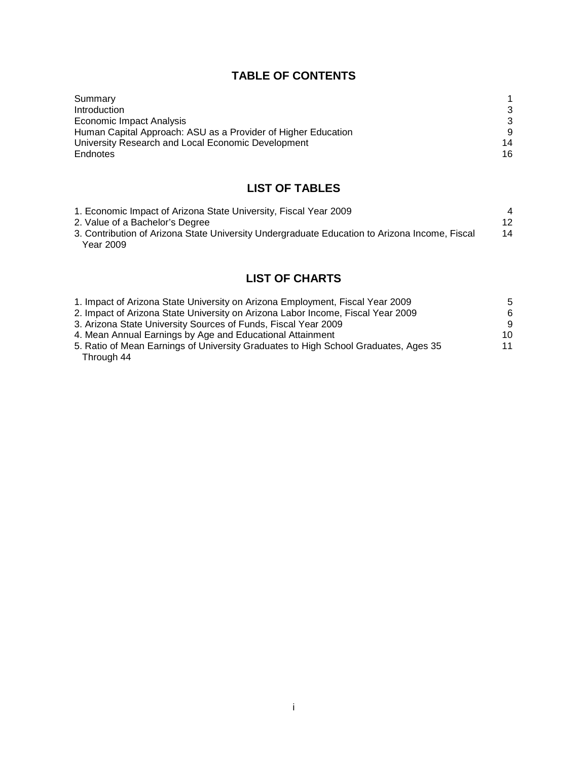# **TABLE OF CONTENTS**

| 3  |
|----|
| 3  |
| 9  |
| 14 |
| 16 |
|    |

# **LIST OF TABLES**

| 1. Economic Impact of Arizona State University, Fiscal Year 2009                              | $\overline{4}$ |
|-----------------------------------------------------------------------------------------------|----------------|
| 2. Value of a Bachelor's Degree                                                               | 12             |
| 3. Contribution of Arizona State University Undergraduate Education to Arizona Income, Fiscal | 14             |
| Year 2009                                                                                     |                |

# **LIST OF CHARTS**

| 1. Impact of Arizona State University on Arizona Employment, Fiscal Year 2009       | 5.  |
|-------------------------------------------------------------------------------------|-----|
| 2. Impact of Arizona State University on Arizona Labor Income, Fiscal Year 2009     | 6.  |
| 3. Arizona State University Sources of Funds, Fiscal Year 2009                      | 9.  |
| 4. Mean Annual Earnings by Age and Educational Attainment                           | 10. |
| 5. Ratio of Mean Earnings of University Graduates to High School Graduates, Ages 35 | 11  |
| Through 44                                                                          |     |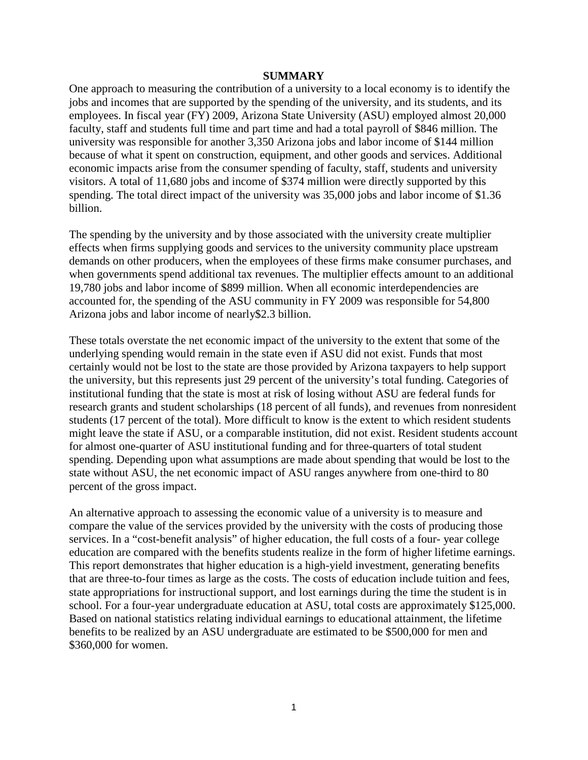#### **SUMMARY**

<span id="page-2-0"></span>One approach to measuring the contribution of a university to a local economy is to identify the jobs and incomes that are supported by the spending of the university, and its students, and its employees. In fiscal year (FY) 2009, Arizona State University (ASU) employed almost 20,000 faculty, staff and students full time and part time and had a total payroll of \$846 million. The university was responsible for another 3,350 Arizona jobs and labor income of \$144 million because of what it spent on construction, equipment, and other goods and services. Additional economic impacts arise from the consumer spending of faculty, staff, students and university visitors. A total of 11,680 jobs and income of \$374 million were directly supported by this spending. The total direct impact of the university was 35,000 jobs and labor income of \$1.36 billion.

The spending by the university and by those associated with the university create multiplier effects when firms supplying goods and services to the university community place upstream demands on other producers, when the employees of these firms make consumer purchases, and when governments spend additional tax revenues. The multiplier effects amount to an additional 19,780 jobs and labor income of \$899 million. When all economic interdependencies are accounted for, the spending of the ASU community in FY 2009 was responsible for 54,800 Arizona jobs and labor income of nearly\$2.3 billion.

These totals overstate the net economic impact of the university to the extent that some of the underlying spending would remain in the state even if ASU did not exist. Funds that most certainly would not be lost to the state are those provided by Arizona taxpayers to help support the university, but this represents just 29 percent of the university's total funding. Categories of institutional funding that the state is most at risk of losing without ASU are federal funds for research grants and student scholarships (18 percent of all funds), and revenues from nonresident students (17 percent of the total). More difficult to know is the extent to which resident students might leave the state if ASU, or a comparable institution, did not exist. Resident students account for almost one-quarter of ASU institutional funding and for three-quarters of total student spending. Depending upon what assumptions are made about spending that would be lost to the state without ASU, the net economic impact of ASU ranges anywhere from one-third to 80 percent of the gross impact.

An alternative approach to assessing the economic value of a university is to measure and compare the value of the services provided by the university with the costs of producing those services. In a "cost-benefit analysis" of higher education, the full costs of a four- year college education are compared with the benefits students realize in the form of higher lifetime earnings. This report demonstrates that higher education is a high-yield investment, generating benefits that are three-to-four times as large as the costs. The costs of education include tuition and fees, state appropriations for instructional support, and lost earnings during the time the student is in school. For a four-year undergraduate education at ASU, total costs are approximately \$125,000. Based on national statistics relating individual earnings to educational attainment, the lifetime benefits to be realized by an ASU undergraduate are estimated to be \$500,000 for men and \$360,000 for women.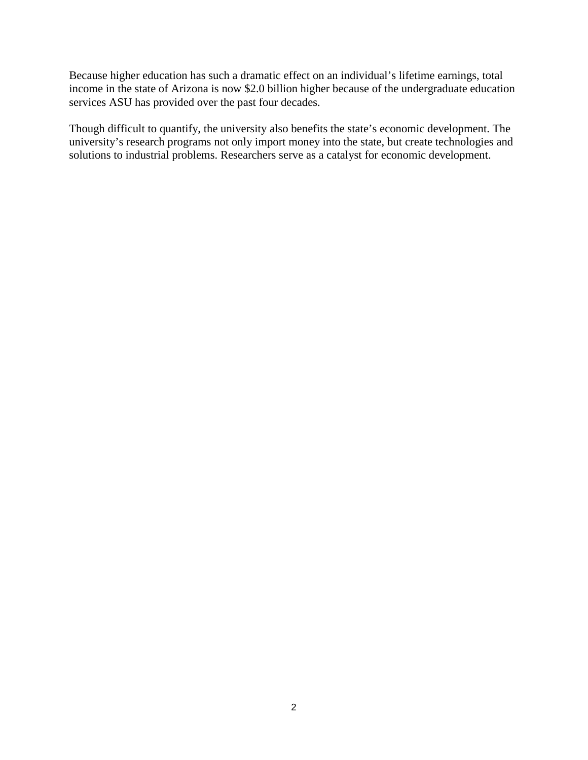Because higher education has such a dramatic effect on an individual's lifetime earnings, total income in the state of Arizona is now \$2.0 billion higher because of the undergraduate education services ASU has provided over the past four decades.

<span id="page-3-3"></span><span id="page-3-2"></span><span id="page-3-1"></span><span id="page-3-0"></span>Though difficult to quantify, the university also benefits the state's economic development. The university's research programs not only import money into the state, but create technologies and solutions to industrial problems. Researchers serve as a catalyst for economic development.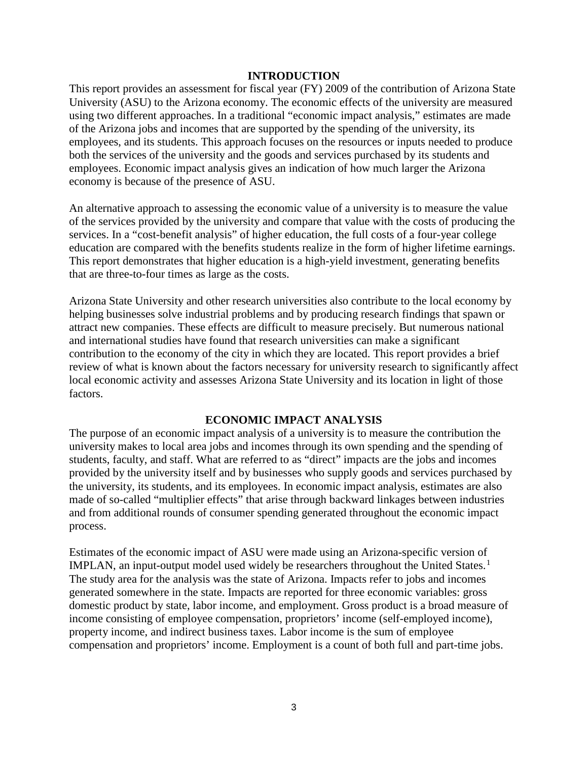## **INTRODUCTION**

<span id="page-4-3"></span>This report provides an assessment for fiscal year (FY) 2009 of the contribution of Arizona State University (ASU) to the Arizona economy. The economic effects of the university are measured using two different approaches. In a traditional "economic impact analysis," estimates are made of the Arizona jobs and incomes that are supported by the spending of the university, its employees, and its students. This approach focuses on the resources or inputs needed to produce both the services of the university and the goods and services purchased by its students and employees. Economic impact analysis gives an indication of how much larger the Arizona economy is because of the presence of ASU.

An alternative approach to assessing the economic value of a university is to measure the value of the services provided by the university and compare that value with the costs of producing the services. In a "cost-benefit analysis" of higher education, the full costs of a four-year college education are compared with the benefits students realize in the form of higher lifetime earnings. This report demonstrates that higher education is a high-yield investment, generating benefits that are three-to-four times as large as the costs.

Arizona State University and other research universities also contribute to the local economy by helping businesses solve industrial problems and by producing research findings that spawn or attract new companies. These effects are difficult to measure precisely. But numerous national and international studies have found that research universities can make a significant contribution to the economy of the city in which they are located. This report provides a brief review of what is known about the factors necessary for university research to significantly affect local economic activity and assesses Arizona State University and its location in light of those factors.

#### **ECONOMIC IMPACT ANALYSIS**

<span id="page-4-0"></span>The purpose of an economic impact analysis of a university is to measure the contribution the university makes to local area jobs and incomes through its own spending and the spending of students, faculty, and staff. What are referred to as "direct" impacts are the jobs and incomes provided by the university itself and by businesses who supply goods and services purchased by the university, its students, and its employees. In economic impact analysis, estimates are also made of so-called "multiplier effects" that arise through backward linkages between industries and from additional rounds of consumer spending generated throughout the economic impact process.

<span id="page-4-2"></span><span id="page-4-1"></span>Estimates of the economic impact of ASU were made using an Arizona-specific version of IMPLAN, an input-output model used widely be researchers throughout the United States.<sup>[1](#page-2-0)</sup> The study area for the analysis was the state of Arizona. Impacts refer to jobs and incomes generated somewhere in the state. Impacts are reported for three economic variables: gross domestic product by state, labor income, and employment. Gross product is a broad measure of income consisting of employee compensation, proprietors' income (self-employed income), property income, and indirect business taxes. Labor income is the sum of employee compensation and proprietors' income. Employment is a count of both full and part-time jobs.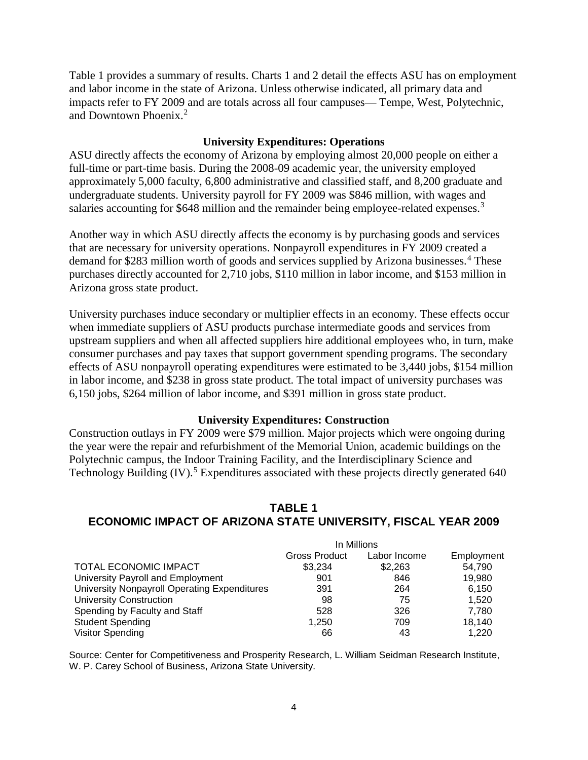Table 1 provides a summary of results. Charts 1 and 2 detail the effects ASU has on employment and labor income in the state of Arizona. Unless otherwise indicated, all primary data and impacts refer to FY 2009 and are totals across all four campuses— Tempe, West, Polytechnic, and Downtown Phoenix.[2](#page-3-0)

#### **University Expenditures: Operations**

ASU directly affects the economy of Arizona by employing almost 20,000 people on either a full-time or part-time basis. During the 2008-09 academic year, the university employed approximately 5,000 faculty, 6,800 administrative and classified staff, and 8,200 graduate and undergraduate students. University payroll for FY 2009 was \$846 million, with wages and salaries accounting for \$648 million and the remainder being employee-related expenses.<sup>[3](#page-3-1)</sup>

<span id="page-5-0"></span>Another way in which ASU directly affects the economy is by purchasing goods and services that are necessary for university operations. Nonpayroll expenditures in FY 2009 created a demand for \$283 million worth of goods and services supplied by Arizona businesses.<sup>[4](#page-3-2)</sup> These purchases directly accounted for 2,710 jobs, \$110 million in labor income, and \$153 million in Arizona gross state product.

University purchases induce secondary or multiplier effects in an economy. These effects occur when immediate suppliers of ASU products purchase intermediate goods and services from upstream suppliers and when all affected suppliers hire additional employees who, in turn, make consumer purchases and pay taxes that support government spending programs. The secondary effects of ASU nonpayroll operating expenditures were estimated to be 3,440 jobs, \$154 million in labor income, and \$238 in gross state product. The total impact of university purchases was 6,150 jobs, \$264 million of labor income, and \$391 million in gross state product.

#### **University Expenditures: Construction**

Construction outlays in FY 2009 were \$79 million. Major projects which were ongoing during the year were the repair and refurbishment of the Memorial Union, academic buildings on the Polytechnic campus, the Indoor Training Facility, and the Interdisciplinary Science and Technology Building  $(IV)$ <sup>[5](#page-3-3)</sup> Expenditures associated with these projects directly generated 640

# **TABLE 1 ECONOMIC IMPACT OF ARIZONA STATE UNIVERSITY, FISCAL YEAR 2009**

|                                              | In Millions   |              |            |
|----------------------------------------------|---------------|--------------|------------|
|                                              | Gross Product | Labor Income | Employment |
| TOTAL ECONOMIC IMPACT                        | \$3.234       | \$2,263      | 54.790     |
| University Payroll and Employment            | 901           | 846          | 19.980     |
| University Nonpayroll Operating Expenditures | 391           | 264          | 6.150      |
| <b>University Construction</b>               | 98            | 75           | 1.520      |
| Spending by Faculty and Staff                | 528           | 326          | 7.780      |
| Student Spending                             | 1.250         | 709          | 18,140     |
| Visitor Spending                             | 66            | 43           | 1.220      |

Source: Center for Competitiveness and Prosperity Research, L. William Seidman Research Institute, W. P. Carey School of Business, Arizona State University.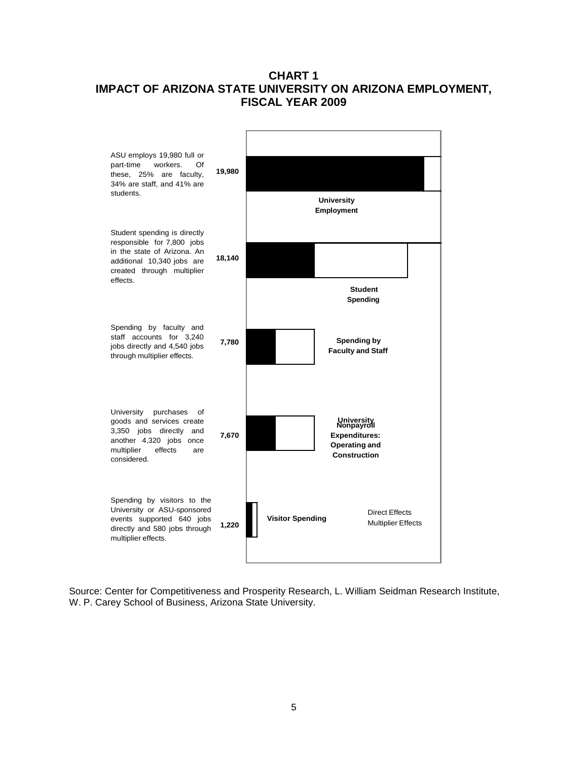# **CHART 1 IMPACT OF ARIZONA STATE UNIVERSITY ON ARIZONA EMPLOYMENT, FISCAL YEAR 2009**

<span id="page-6-0"></span>

<span id="page-6-2"></span><span id="page-6-1"></span>Source: Center for Competitiveness and Prosperity Research, L. William Seidman Research Institute, W. P. Carey School of Business, Arizona State University.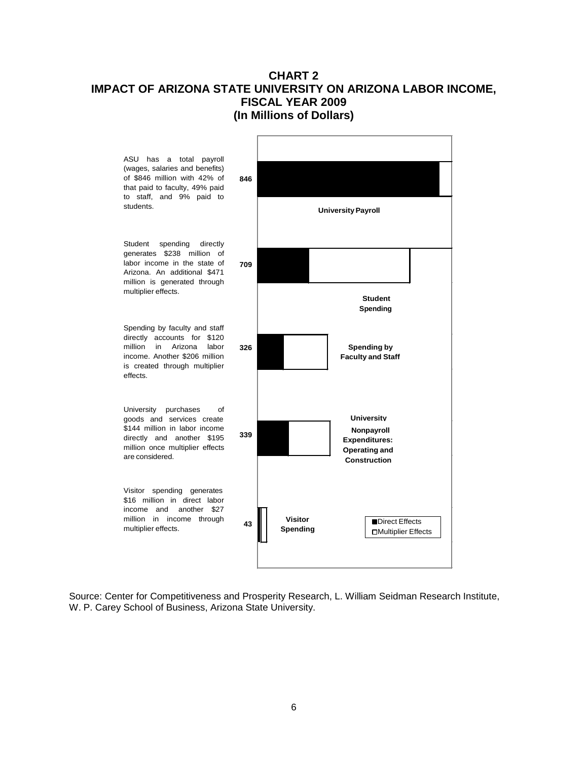# **CHART 2 IMPACT OF ARIZONA STATE UNIVERSITY ON ARIZONA LABOR INCOME, FISCAL YEAR 2009 (In Millions of Dollars)**



Source: Center for Competitiveness and Prosperity Research, L. William Seidman Research Institute, W. P. Carey School of Business, Arizona State University.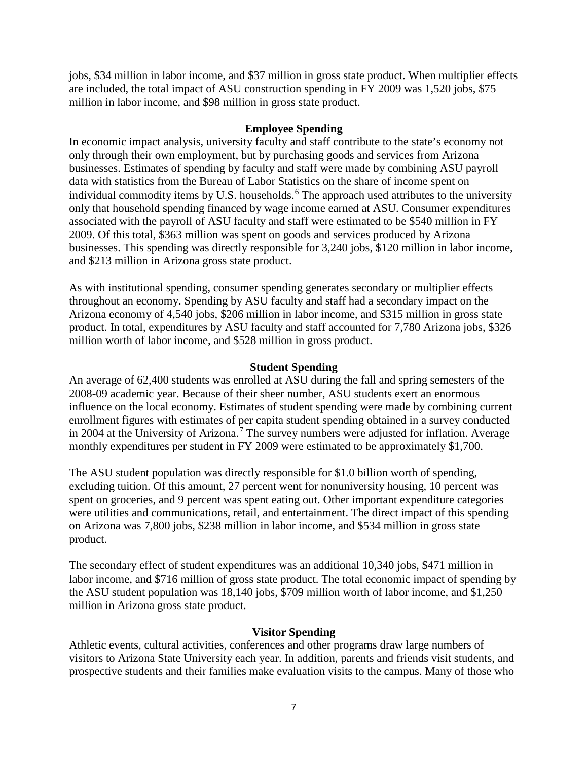jobs, \$34 million in labor income, and \$37 million in gross state product. When multiplier effects are included, the total impact of ASU construction spending in FY 2009 was 1,520 jobs, \$75 million in labor income, and \$98 million in gross state product.

# **Employee Spending**

In economic impact analysis, university faculty and staff contribute to the state's economy not only through their own employment, but by purchasing goods and services from Arizona businesses. Estimates of spending by faculty and staff were made by combining ASU payroll data with statistics from the Bureau of Labor Statistics on the share of income spent on individual commodity items by U.S. households.<sup>[6](#page-4-0)</sup> The approach used attributes to the university only that household spending financed by wage income earned at ASU. Consumer expenditures associated with the payroll of ASU faculty and staff were estimated to be \$540 million in FY 2009. Of this total, \$363 million was spent on goods and services produced by Arizona businesses. This spending was directly responsible for 3,240 jobs, \$120 million in labor income, and \$213 million in Arizona gross state product.

As with institutional spending, consumer spending generates secondary or multiplier effects throughout an economy. Spending by ASU faculty and staff had a secondary impact on the Arizona economy of 4,540 jobs, \$206 million in labor income, and \$315 million in gross state product. In total, expenditures by ASU faculty and staff accounted for 7,780 Arizona jobs, \$326 million worth of labor income, and \$528 million in gross product.

## **Student Spending**

An average of 62,400 students was enrolled at ASU during the fall and spring semesters of the 2008-09 academic year. Because of their sheer number, ASU students exert an enormous influence on the local economy. Estimates of student spending were made by combining current enrollment figures with estimates of per capita student spending obtained in a survey conducted in 2004 at the University of Arizona.<sup>[7](#page-4-1)</sup> The survey numbers were adjusted for inflation. Average monthly expenditures per student in FY 2009 were estimated to be approximately \$1,700.

The ASU student population was directly responsible for \$1.0 billion worth of spending, excluding tuition. Of this amount, 27 percent went for nonuniversity housing, 10 percent was spent on groceries, and 9 percent was spent eating out. Other important expenditure categories were utilities and communications, retail, and entertainment. The direct impact of this spending on Arizona was 7,800 jobs, \$238 million in labor income, and \$534 million in gross state product.

The secondary effect of student expenditures was an additional 10,340 jobs, \$471 million in labor income, and \$716 million of gross state product. The total economic impact of spending by the ASU student population was 18,140 jobs, \$709 million worth of labor income, and \$1,250 million in Arizona gross state product.

# **Visitor Spending**

Athletic events, cultural activities, conferences and other programs draw large numbers of visitors to Arizona State University each year. In addition, parents and friends visit students, and prospective students and their families make evaluation visits to the campus. Many of those who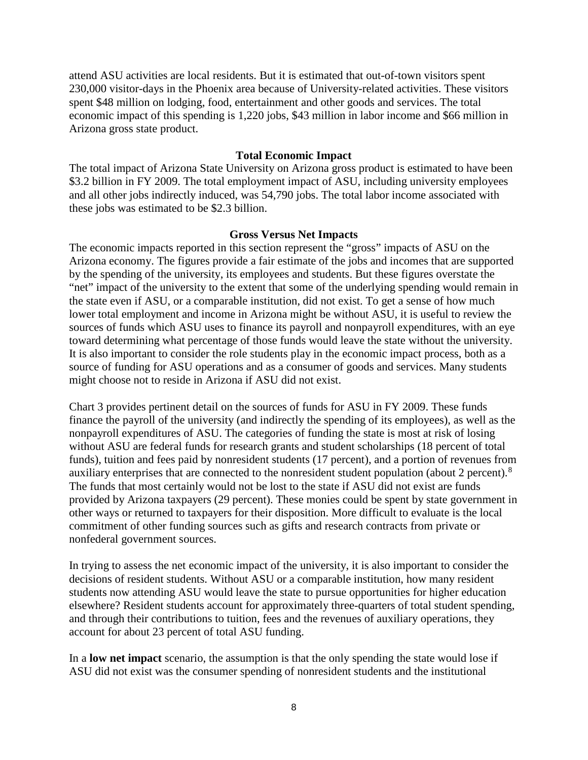attend ASU activities are local residents. But it is estimated that out-of-town visitors spent 230,000 visitor-days in the Phoenix area because of University-related activities. These visitors spent \$48 million on lodging, food, entertainment and other goods and services. The total economic impact of this spending is 1,220 jobs, \$43 million in labor income and \$66 million in Arizona gross state product.

#### **Total Economic Impact**

The total impact of Arizona State University on Arizona gross product is estimated to have been \$3.2 billion in FY 2009. The total employment impact of ASU, including university employees and all other jobs indirectly induced, was 54,790 jobs. The total labor income associated with these jobs was estimated to be \$2.3 billion.

#### **Gross Versus Net Impacts**

The economic impacts reported in this section represent the "gross" impacts of ASU on the Arizona economy. The figures provide a fair estimate of the jobs and incomes that are supported by the spending of the university, its employees and students. But these figures overstate the "net" impact of the university to the extent that some of the underlying spending would remain in the state even if ASU, or a comparable institution, did not exist. To get a sense of how much lower total employment and income in Arizona might be without ASU, it is useful to review the sources of funds which ASU uses to finance its payroll and nonpayroll expenditures, with an eye toward determining what percentage of those funds would leave the state without the university. It is also important to consider the role students play in the economic impact process, both as a source of funding for ASU operations and as a consumer of goods and services. Many students might choose not to reside in Arizona if ASU did not exist.

Chart 3 provides pertinent detail on the sources of funds for ASU in FY 2009. These funds finance the payroll of the university (and indirectly the spending of its employees), as well as the nonpayroll expenditures of ASU. The categories of funding the state is most at risk of losing without ASU are federal funds for research grants and student scholarships (18 percent of total funds), tuition and fees paid by nonresident students (17 percent), and a portion of revenues from auxiliary enterprises that are connected to the nonresident student population (about 2 percent).[8](#page-4-2) The funds that most certainly would not be lost to the state if ASU did not exist are funds provided by Arizona taxpayers (29 percent). These monies could be spent by state government in other ways or returned to taxpayers for their disposition. More difficult to evaluate is the local commitment of other funding sources such as gifts and research contracts from private or nonfederal government sources.

In trying to assess the net economic impact of the university, it is also important to consider the decisions of resident students. Without ASU or a comparable institution, how many resident students now attending ASU would leave the state to pursue opportunities for higher education elsewhere? Resident students account for approximately three-quarters of total student spending, and through their contributions to tuition, fees and the revenues of auxiliary operations, they account for about 23 percent of total ASU funding.

In a **low net impact** scenario, the assumption is that the only spending the state would lose if ASU did not exist was the consumer spending of nonresident students and the institutional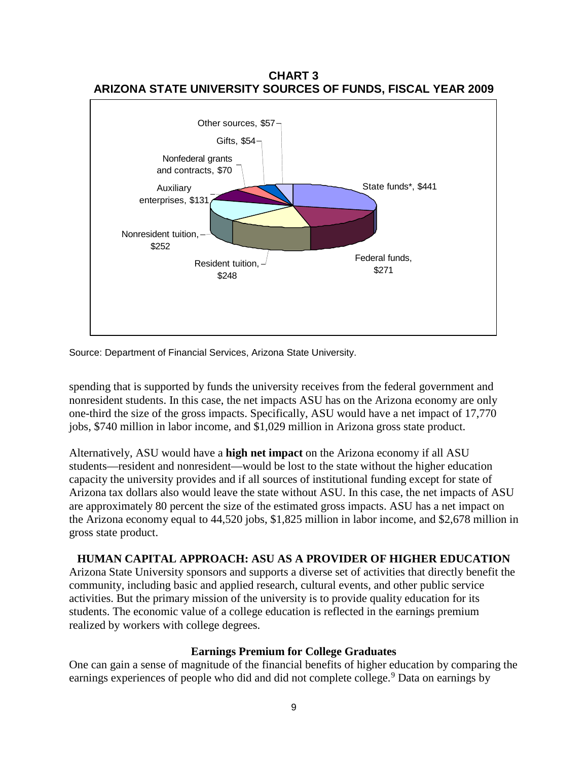

**CHART 3 ARIZONA STATE UNIVERSITY SOURCES OF FUNDS, FISCAL YEAR 2009**

Source: Department of Financial Services, Arizona State University.

spending that is supported by funds the university receives from the federal government and nonresident students. In this case, the net impacts ASU has on the Arizona economy are only one-third the size of the gross impacts. Specifically, ASU would have a net impact of 17,770 jobs, \$740 million in labor income, and \$1,029 million in Arizona gross state product.

Alternatively, ASU would have a **high net impact** on the Arizona economy if all ASU students—resident and nonresident—would be lost to the state without the higher education capacity the university provides and if all sources of institutional funding except for state of Arizona tax dollars also would leave the state without ASU. In this case, the net impacts of ASU are approximately 80 percent the size of the estimated gross impacts. ASU has a net impact on the Arizona economy equal to 44,520 jobs, \$1,825 million in labor income, and \$2,678 million in gross state product.

# **HUMAN CAPITAL APPROACH: ASU AS A PROVIDER OF HIGHER EDUCATION**

Arizona State University sponsors and supports a diverse set of activities that directly benefit the community, including basic and applied research, cultural events, and other public service activities. But the primary mission of the university is to provide quality education for its students. The economic value of a college education is reflected in the earnings premium realized by workers with college degrees.

#### **Earnings Premium for College Graduates**

One can gain a sense of magnitude of the financial benefits of higher education by comparing the earnings experiences of people who did and did not complete college.<sup>[9](#page-4-3)</sup> Data on earnings by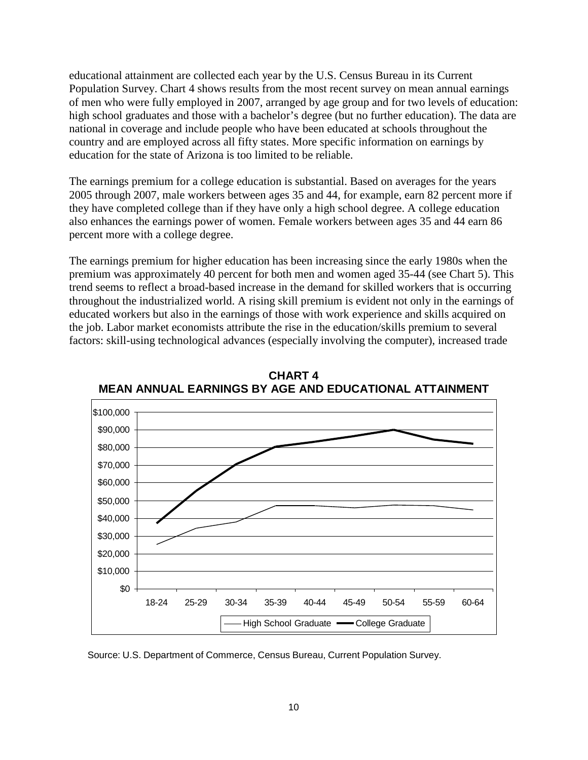educational attainment are collected each year by the U.S. Census Bureau in its Current Population Survey. Chart 4 shows results from the most recent survey on mean annual earnings of men who were fully employed in 2007, arranged by age group and for two levels of education: high school graduates and those with a bachelor's degree (but no further education). The data are national in coverage and include people who have been educated at schools throughout the country and are employed across all fifty states. More specific information on earnings by education for the state of Arizona is too limited to be reliable.

The earnings premium for a college education is substantial. Based on averages for the years 2005 through 2007, male workers between ages 35 and 44, for example, earn 82 percent more if they have completed college than if they have only a high school degree. A college education also enhances the earnings power of women. Female workers between ages 35 and 44 earn 86 percent more with a college degree.

The earnings premium for higher education has been increasing since the early 1980s when the premium was approximately 40 percent for both men and women aged 35-44 (see Chart 5). This trend seems to reflect a broad-based increase in the demand for skilled workers that is occurring throughout the industrialized world. A rising skill premium is evident not only in the earnings of educated workers but also in the earnings of those with work experience and skills acquired on the job. Labor market economists attribute the rise in the education/skills premium to several factors: skill-using technological advances (especially involving the computer), increased trade



**CHART 4 MEAN ANNUAL EARNINGS BY AGE AND EDUCATIONAL ATTAINMENT**

Source: U.S. Department of Commerce, Census Bureau, Current Population Survey.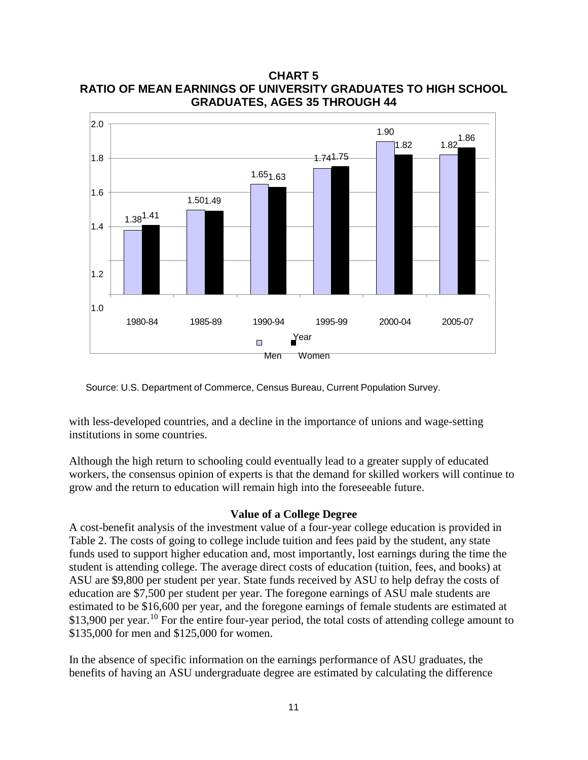

**CHART 5 RATIO OF MEAN EARNINGS OF UNIVERSITY GRADUATES TO HIGH SCHOOL GRADUATES, AGES 35 THROUGH 44**

Source: U.S. Department of Commerce, Census Bureau, Current Population Survey.

with less-developed countries, and a decline in the importance of unions and wage-setting institutions in some countries.

Although the high return to schooling could eventually lead to a greater supply of educated workers, the consensus opinion of experts is that the demand for skilled workers will continue to grow and the return to education will remain high into the foreseeable future.

#### **Value of a College Degree**

A cost-benefit analysis of the investment value of a four-year college education is provided in Table 2. The costs of going to college include tuition and fees paid by the student, any state funds used to support higher education and, most importantly, lost earnings during the time the student is attending college. The average direct costs of education (tuition, fees, and books) at ASU are \$9,800 per student per year. State funds received by ASU to help defray the costs of education are \$7,500 per student per year. The foregone earnings of ASU male students are estimated to be \$16,600 per year, and the foregone earnings of female students are estimated at \$13,900 per year.<sup>[10](#page-5-0)</sup> For the entire four-year period, the total costs of attending college amount to \$135,000 for men and \$125,000 for women.

In the absence of specific information on the earnings performance of ASU graduates, the benefits of having an ASU undergraduate degree are estimated by calculating the difference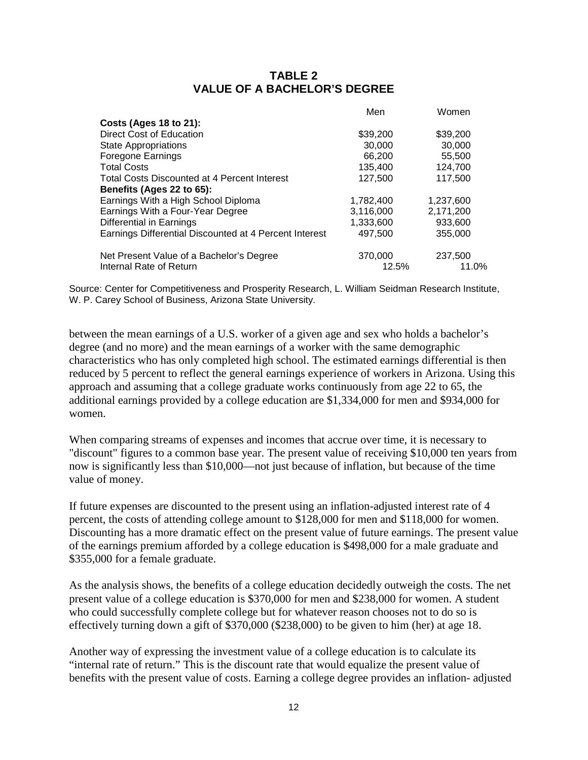# **TABLE 2 VALUE OF A BACHELOR'S DEGREE**

|                                                        | Men       | Women     |
|--------------------------------------------------------|-----------|-----------|
| Costs (Ages 18 to 21):                                 |           |           |
| Direct Cost of Education                               | \$39,200  | \$39,200  |
| <b>State Appropriations</b>                            | 30,000    | 30,000    |
| <b>Foregone Earnings</b>                               | 66,200    | 55,500    |
| <b>Total Costs</b>                                     | 135,400   | 124,700   |
| Total Costs Discounted at 4 Percent Interest           | 127,500   | 117,500   |
| Benefits (Ages 22 to 65):                              |           |           |
| Earnings With a High School Diploma                    | 1,782,400 | 1,237,600 |
| Earnings With a Four-Year Degree                       | 3,116,000 | 2,171,200 |
| Differential in Earnings                               | 1.333.600 | 933,600   |
| Earnings Differential Discounted at 4 Percent Interest | 497,500   | 355,000   |
| Net Present Value of a Bachelor's Degree               | 370,000   | 237,500   |
| Internal Rate of Return                                | 12.5%     | 11.0%     |

Source: Center for Competitiveness and Prosperity Research, L. William Seidman Research Institute, W. P. Carey School of Business, Arizona State University.

between the mean earnings of a U.S. worker of a given age and sex who holds a bachelor's degree (and no more) and the mean earnings of a worker with the same demographic characteristics who has only completed high school. The estimated earnings differential is then reduced by 5 percent to reflect the general earnings experience of workers in Arizona. Using this approach and assuming that a college graduate works continuously from age 22 to 65, the additional earnings provided by a college education are \$1,334,000 for men and \$934,000 for women.

When comparing streams of expenses and incomes that accrue over time, it is necessary to "discount" figures to a common base year. The present value of receiving \$10,000 ten years from now is significantly less than \$10,000—not just because of inflation, but because of the time value of money.

If future expenses are discounted to the present using an inflation-adjusted interest rate of 4 percent, the costs of attending college amount to \$128,000 for men and \$118,000 for women. Discounting has a more dramatic effect on the present value of future earnings. The present value of the earnings premium afforded by a college education is \$498,000 for a male graduate and \$355,000 for a female graduate.

As the analysis shows, the benefits of a college education decidedly outweigh the costs. The net present value of a college education is \$370,000 for men and \$238,000 for women. A student who could successfully complete college but for whatever reason chooses not to do so is effectively turning down a gift of \$370,000 (\$238,000) to be given to him (her) at age 18.

Another way of expressing the investment value of a college education is to calculate its "internal rate of return." This is the discount rate that would equalize the present value of benefits with the present value of costs. Earning a college degree provides an inflation- adjusted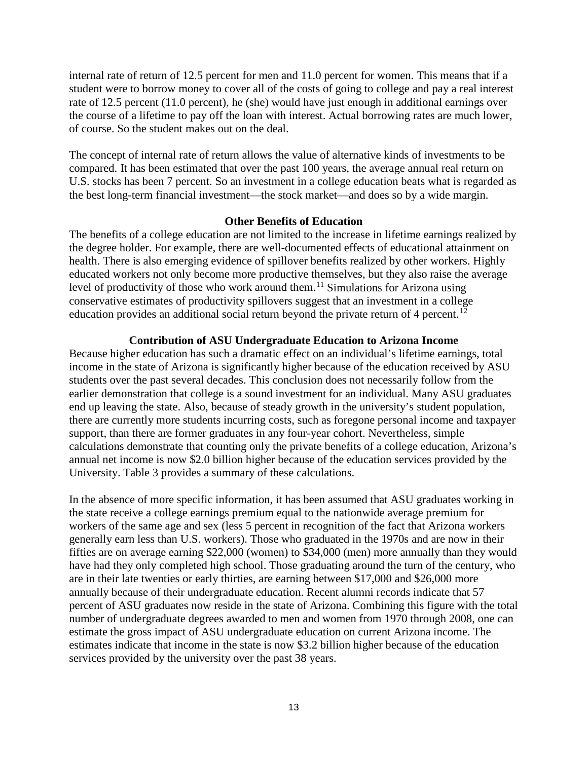internal rate of return of 12.5 percent for men and 11.0 percent for women. This means that if a student were to borrow money to cover all of the costs of going to college and pay a real interest rate of 12.5 percent (11.0 percent), he (she) would have just enough in additional earnings over the course of a lifetime to pay off the loan with interest. Actual borrowing rates are much lower, of course. So the student makes out on the deal.

The concept of internal rate of return allows the value of alternative kinds of investments to be compared. It has been estimated that over the past 100 years, the average annual real return on U.S. stocks has been 7 percent. So an investment in a college education beats what is regarded as the best long-term financial investment—the stock market—and does so by a wide margin.

#### **Other Benefits of Education**

The benefits of a college education are not limited to the increase in lifetime earnings realized by the degree holder. For example, there are well-documented effects of educational attainment on health. There is also emerging evidence of spillover benefits realized by other workers. Highly educated workers not only become more productive themselves, but they also raise the average level of productivity of those who work around them.<sup>[11](#page-6-0)</sup> Simulations for Arizona using conservative estimates of productivity spillovers suggest that an investment in a college education provides an additional social return beyond the private return of 4 percent.<sup>[12](#page-6-1)</sup>

#### **Contribution of ASU Undergraduate Education to Arizona Income**

Because higher education has such a dramatic effect on an individual's lifetime earnings, total income in the state of Arizona is significantly higher because of the education received by ASU students over the past several decades. This conclusion does not necessarily follow from the earlier demonstration that college is a sound investment for an individual. Many ASU graduates end up leaving the state. Also, because of steady growth in the university's student population, there are currently more students incurring costs, such as foregone personal income and taxpayer support, than there are former graduates in any four-year cohort. Nevertheless, simple calculations demonstrate that counting only the private benefits of a college education, Arizona's annual net income is now \$2.0 billion higher because of the education services provided by the University. Table 3 provides a summary of these calculations.

In the absence of more specific information, it has been assumed that ASU graduates working in the state receive a college earnings premium equal to the nationwide average premium for workers of the same age and sex (less 5 percent in recognition of the fact that Arizona workers generally earn less than U.S. workers). Those who graduated in the 1970s and are now in their fifties are on average earning \$22,000 (women) to \$34,000 (men) more annually than they would have had they only completed high school. Those graduating around the turn of the century, who are in their late twenties or early thirties, are earning between \$17,000 and \$26,000 more annually because of their undergraduate education. Recent alumni records indicate that 57 percent of ASU graduates now reside in the state of Arizona. Combining this figure with the total number of undergraduate degrees awarded to men and women from 1970 through 2008, one can estimate the gross impact of ASU undergraduate education on current Arizona income. The estimates indicate that income in the state is now \$3.2 billion higher because of the education services provided by the university over the past 38 years.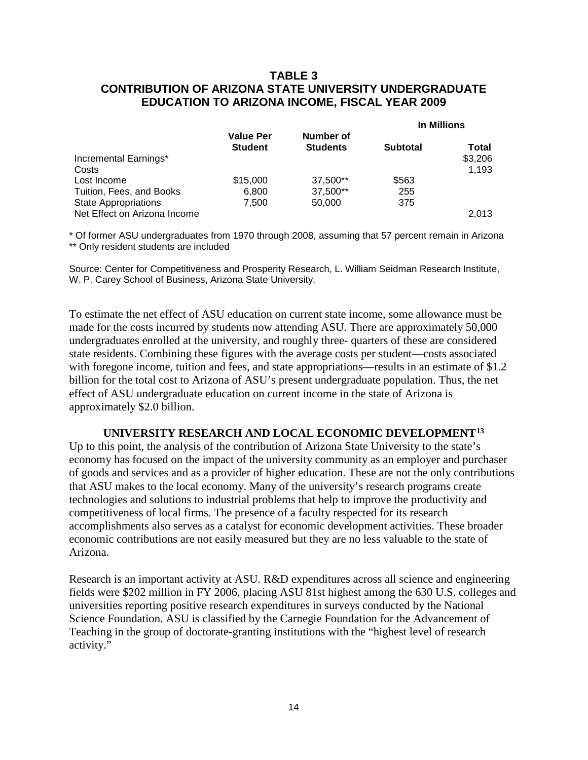# **TABLE 3 CONTRIBUTION OF ARIZONA STATE UNIVERSITY UNDERGRADUATE EDUCATION TO ARIZONA INCOME, FISCAL YEAR 2009**

|                              | <b>Value Per</b><br>Number of<br><b>Student</b><br><b>Students</b> |                 | In Millions |         |
|------------------------------|--------------------------------------------------------------------|-----------------|-------------|---------|
|                              |                                                                    | <b>Subtotal</b> | Total       |         |
| Incremental Earnings*        |                                                                    |                 |             | \$3,206 |
| Costs                        |                                                                    |                 |             | 1.193   |
| Lost Income                  | \$15,000                                                           | 37,500**        | \$563       |         |
| Tuition, Fees, and Books     | 6.800                                                              | 37,500**        | 255         |         |
| <b>State Appropriations</b>  | 7,500                                                              | 50,000          | 375         |         |
| Net Effect on Arizona Income |                                                                    |                 |             | 2.013   |

\* Of former ASU undergraduates from 1970 through 2008, assuming that 57 percent remain in Arizona \*\* Only resident students are included

Source: Center for Competitiveness and Prosperity Research, L. William Seidman Research Institute, W. P. Carey School of Business, Arizona State University.

To estimate the net effect of ASU education on current state income, some allowance must be made for the costs incurred by students now attending ASU. There are approximately 50,000 undergraduates enrolled at the university, and roughly three- quarters of these are considered state residents. Combining these figures with the average costs per student—costs associated with foregone income, tuition and fees, and state appropriations—results in an estimate of \$1.2 billion for the total cost to Arizona of ASU's present undergraduate population. Thus, the net effect of ASU undergraduate education on current income in the state of Arizona is approximately \$2.0 billion.

# **UNIVERSITY RESEARCH AND LOCAL ECONOMIC DEVELOPMENT[13](#page-6-2)**

Up to this point, the analysis of the contribution of Arizona State University to the state's economy has focused on the impact of the university community as an employer and purchaser of goods and services and as a provider of higher education. These are not the only contributions that ASU makes to the local economy. Many of the university's research programs create technologies and solutions to industrial problems that help to improve the productivity and competitiveness of local firms. The presence of a faculty respected for its research accomplishments also serves as a catalyst for economic development activities. These broader economic contributions are not easily measured but they are no less valuable to the state of Arizona.

Research is an important activity at ASU. R&D expenditures across all science and engineering fields were \$202 million in FY 2006, placing ASU 81st highest among the 630 U.S. colleges and universities reporting positive research expenditures in surveys conducted by the National Science Foundation. ASU is classified by the Carnegie Foundation for the Advancement of Teaching in the group of doctorate-granting institutions with the "highest level of research activity."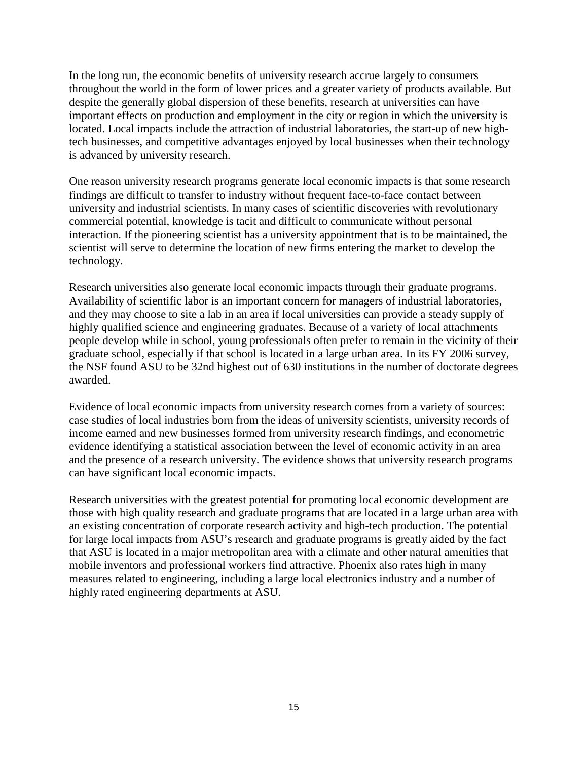In the long run, the economic benefits of university research accrue largely to consumers throughout the world in the form of lower prices and a greater variety of products available. But despite the generally global dispersion of these benefits, research at universities can have important effects on production and employment in the city or region in which the university is located. Local impacts include the attraction of industrial laboratories, the start-up of new hightech businesses, and competitive advantages enjoyed by local businesses when their technology is advanced by university research.

One reason university research programs generate local economic impacts is that some research findings are difficult to transfer to industry without frequent face-to-face contact between university and industrial scientists. In many cases of scientific discoveries with revolutionary commercial potential, knowledge is tacit and difficult to communicate without personal interaction. If the pioneering scientist has a university appointment that is to be maintained, the scientist will serve to determine the location of new firms entering the market to develop the technology.

Research universities also generate local economic impacts through their graduate programs. Availability of scientific labor is an important concern for managers of industrial laboratories, and they may choose to site a lab in an area if local universities can provide a steady supply of highly qualified science and engineering graduates. Because of a variety of local attachments people develop while in school, young professionals often prefer to remain in the vicinity of their graduate school, especially if that school is located in a large urban area. In its FY 2006 survey, the NSF found ASU to be 32nd highest out of 630 institutions in the number of doctorate degrees awarded.

Evidence of local economic impacts from university research comes from a variety of sources: case studies of local industries born from the ideas of university scientists, university records of income earned and new businesses formed from university research findings, and econometric evidence identifying a statistical association between the level of economic activity in an area and the presence of a research university. The evidence shows that university research programs can have significant local economic impacts.

Research universities with the greatest potential for promoting local economic development are those with high quality research and graduate programs that are located in a large urban area with an existing concentration of corporate research activity and high-tech production. The potential for large local impacts from ASU's research and graduate programs is greatly aided by the fact that ASU is located in a major metropolitan area with a climate and other natural amenities that mobile inventors and professional workers find attractive. Phoenix also rates high in many measures related to engineering, including a large local electronics industry and a number of highly rated engineering departments at ASU.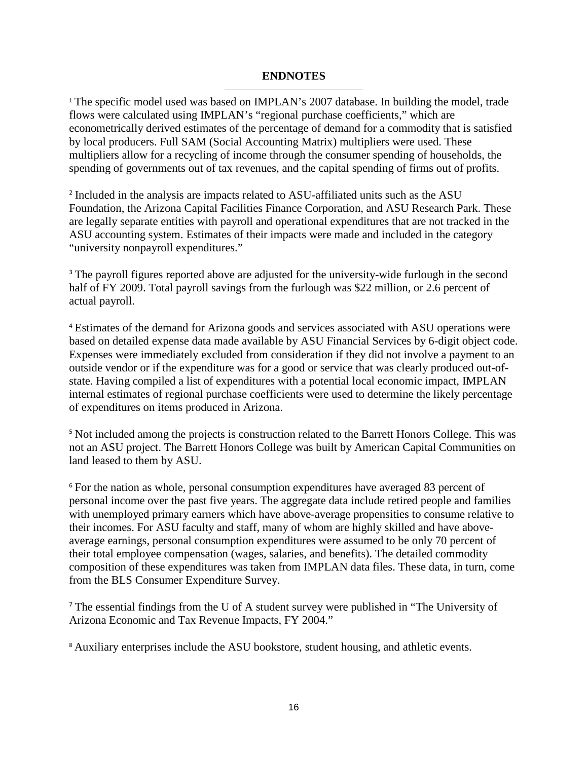# **ENDNOTES**

l

<sup>1</sup> The specific model used was based on IMPLAN's 2007 database. In building the model, trade flows were calculated using IMPLAN's "regional purchase coefficients," which are econometrically derived estimates of the percentage of demand for a commodity that is satisfied by local producers. Full SAM (Social Accounting Matrix) multipliers were used. These multipliers allow for a recycling of income through the consumer spending of households, the spending of governments out of tax revenues, and the capital spending of firms out of profits.

<sup>2</sup> Included in the analysis are impacts related to ASU-affiliated units such as the ASU Foundation, the Arizona Capital Facilities Finance Corporation, and ASU Research Park. These are legally separate entities with payroll and operational expenditures that are not tracked in the ASU accounting system. Estimates of their impacts were made and included in the category "university nonpayroll expenditures."

<sup>3</sup> The payroll figures reported above are adjusted for the university-wide furlough in the second half of FY 2009. Total payroll savings from the furlough was \$22 million, or 2.6 percent of actual payroll.

<sup>4</sup> Estimates of the demand for Arizona goods and services associated with ASU operations were based on detailed expense data made available by ASU Financial Services by 6-digit object code. Expenses were immediately excluded from consideration if they did not involve a payment to an outside vendor or if the expenditure was for a good or service that was clearly produced out-ofstate. Having compiled a list of expenditures with a potential local economic impact, IMPLAN internal estimates of regional purchase coefficients were used to determine the likely percentage of expenditures on items produced in Arizona.

<sup>5</sup> Not included among the projects is construction related to the Barrett Honors College. This was not an ASU project. The Barrett Honors College was built by American Capital Communities on land leased to them by ASU.

<sup>6</sup> For the nation as whole, personal consumption expenditures have averaged 83 percent of personal income over the past five years. The aggregate data include retired people and families with unemployed primary earners which have above-average propensities to consume relative to their incomes. For ASU faculty and staff, many of whom are highly skilled and have aboveaverage earnings, personal consumption expenditures were assumed to be only 70 percent of their total employee compensation (wages, salaries, and benefits). The detailed commodity composition of these expenditures was taken from IMPLAN data files. These data, in turn, come from the BLS Consumer Expenditure Survey.

<sup>7</sup> The essential findings from the U of A student survey were published in "The University of Arizona Economic and Tax Revenue Impacts, FY 2004."

<sup>8</sup> Auxiliary enterprises include the ASU bookstore, student housing, and athletic events.